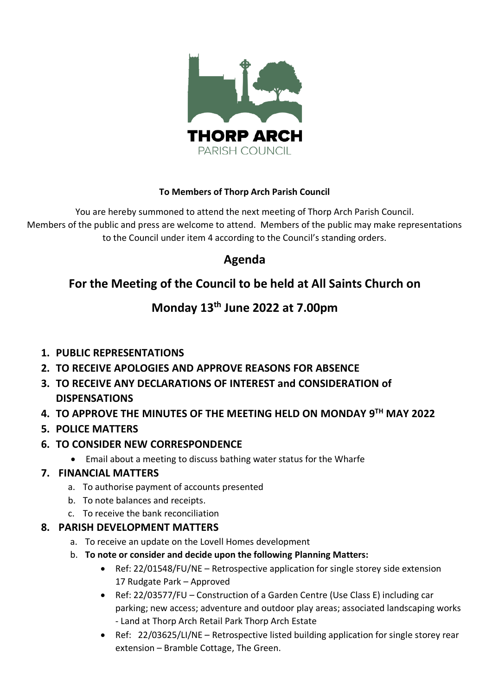

#### **To Members of Thorp Arch Parish Council**

You are hereby summoned to attend the next meeting of Thorp Arch Parish Council. Members of the public and press are welcome to attend. Members of the public may make representations to the Council under item 4 according to the Council's standing orders.

# **Agenda**

# **For the Meeting of the Council to be held at All Saints Church on**

# **Monday 13th June 2022 at 7.00pm**

# **1. PUBLIC REPRESENTATIONS**

- **2. TO RECEIVE APOLOGIES AND APPROVE REASONS FOR ABSENCE**
- **3. TO RECEIVE ANY DECLARATIONS OF INTEREST and CONSIDERATION of DISPENSATIONS**
- **4. TO APPROVE THE MINUTES OF THE MEETING HELD ON MONDAY 9 TH MAY 2022**

# **5. POLICE MATTERS**

- **6. TO CONSIDER NEW CORRESPONDENCE**
	- Email about a meeting to discuss bathing water status for the Wharfe

# **7. FINANCIAL MATTERS**

- a. To authorise payment of accounts presented
- b. To note balances and receipts.
- c. To receive the bank reconciliation

# **8. PARISH DEVELOPMENT MATTERS**

- a. To receive an update on the Lovell Homes development
- b. **To note or consider and decide upon the following Planning Matters:**
	- Ref: 22/01548/FU/NE Retrospective application for single storey side extension 17 Rudgate Park – Approved
	- Ref: 22/03577/FU Construction of a Garden Centre (Use Class E) including car parking; new access; adventure and outdoor play areas; associated landscaping works - Land at Thorp Arch Retail Park Thorp Arch Estate
	- Ref: 22/03625/LI/NE Retrospective listed building application for single storey rear extension – Bramble Cottage, The Green.